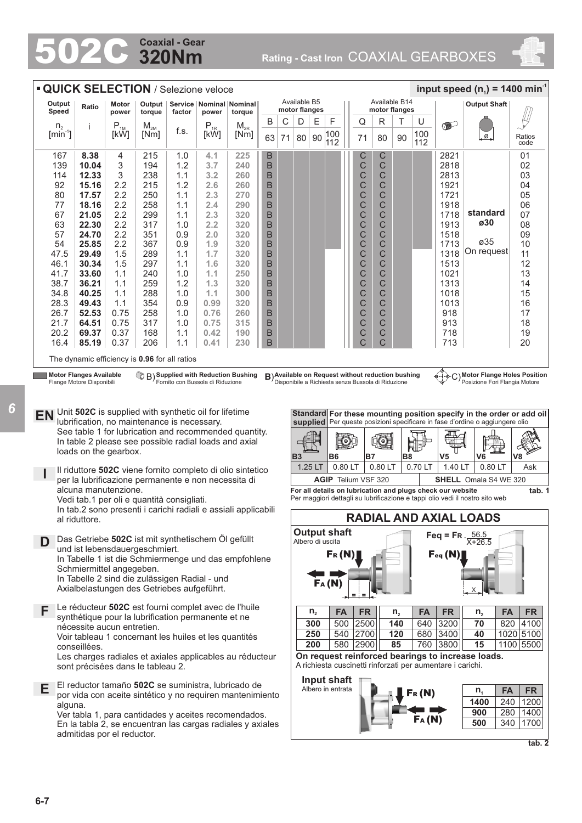# **320Nm Coaxial - Gear**

502C **Rating - Cast Iron** COAXIAL GEARBOXES



|                                       | <b>QUICK SELECTION / Selezione veloce</b> |                |                                               |        |          |                                         |    |    |                               |    |            |  |    |                                |    |            | input speed $(n_1)$ = 1400 min <sup>-1</sup> |                     |                |
|---------------------------------------|-------------------------------------------|----------------|-----------------------------------------------|--------|----------|-----------------------------------------|----|----|-------------------------------|----|------------|--|----|--------------------------------|----|------------|----------------------------------------------|---------------------|----------------|
| Output<br>Speed                       | Ratio                                     | Motor<br>power | Output<br>torque                              | factor | power    | Service   Nominal   Nominal  <br>torque |    |    | Available B5<br>motor flanges |    |            |  |    | Available B14<br>motor flanges |    |            |                                              | <b>Output Shaft</b> |                |
| n <sub>2</sub>                        | ÷                                         | $P_{1M}$       | $M_{2M}$                                      |        | $P_{1R}$ | $M_{2R}$                                | B  | С  | D                             | E  | F          |  | Q  | R                              | т  | U          | $\bullet$                                    |                     |                |
| $\left[\text{min}^{\text{-}1}\right]$ |                                           | [kW]           | [Nm]                                          | f.s.   | [kW]     | [Nm]                                    | 63 | 71 | 80                            | 90 | 100<br>112 |  | 71 | 80                             | 90 | 100<br>112 |                                              | ا ٍ ⊘ ـا            | Ratios<br>code |
| 167                                   | 8.38                                      | 4              | 215                                           | 1.0    | 4.1      | 225                                     | В  |    |                               |    |            |  | С  | $\mathsf C$                    |    |            | 2821                                         |                     | 01             |
| 139                                   | 10.04                                     | 3              | 194                                           | 1.2    | 3.7      | 240                                     | B  |    |                               |    |            |  | C  | C                              |    |            | 2818                                         |                     | 02             |
| 114                                   | 12.33                                     | 3              | 238                                           | 1.1    | 3.2      | 260                                     | B  |    |                               |    |            |  | C  | C                              |    |            | 2813                                         |                     | 03             |
| 92                                    | 15.16                                     | 2.2            | 215                                           | 1.2    | 2.6      | 260                                     | B  |    |                               |    |            |  | C  | C                              |    |            | 1921                                         |                     | 04             |
| 80                                    | 17.57                                     | 2.2            | 250                                           | 1.1    | 2.3      | 270                                     | B  |    |                               |    |            |  | C  | C                              |    |            | 1721                                         |                     | 05             |
| 77                                    | 18.16                                     | 2.2            | 258                                           | 1.1    | 2.4      | 290                                     | B  |    |                               |    |            |  | C  | C                              |    |            | 1918                                         |                     | 06             |
| 67                                    | 21.05                                     | 2.2            | 299                                           | 1.1    | 2.3      | 320                                     | B  |    |                               |    |            |  | C  | C                              |    |            | 1718                                         | standard            | 07             |
| 63                                    | 22.30                                     | 2.2            | 317                                           | 1.0    | 2.2      | 320                                     | B  |    |                               |    |            |  | C  | C                              |    |            | 1913                                         | ø30                 | 08             |
| 57                                    | 24.70                                     | 2.2            | 351                                           | 0.9    | 2.0      | 320                                     | B  |    |                               |    |            |  | C  | C                              |    |            | 1518                                         |                     | 09             |
| 54                                    | 25.85                                     | 2.2            | 367                                           | 0.9    | 1.9      | 320                                     | B  |    |                               |    |            |  | C  | C                              |    |            | 1713                                         | ø35                 | 10             |
| 47.5                                  | 29.49                                     | 1.5            | 289                                           | 1.1    | 1.7      | 320                                     | B  |    |                               |    |            |  | C  | C                              |    |            | 1318                                         | On request          | 11             |
| 46.1                                  | 30.34                                     | 1.5            | 297                                           | 1.1    | 1.6      | 320                                     | B  |    |                               |    |            |  | C  | C                              |    |            | 1513                                         |                     | 12             |
| 41.7                                  | 33.60                                     | 1.1            | 240                                           | 1.0    | 1.1      | 250                                     | B  |    |                               |    |            |  | C  | C                              |    |            | 1021                                         |                     | 13             |
| 38.7                                  | 36.21                                     | 1.1            | 259                                           | 1.2    | 1.3      | 320                                     | B  |    |                               |    |            |  | C  | C                              |    |            | 1313                                         |                     | 14             |
| 34.8                                  | 40.25                                     | 1.1            | 288                                           | 1.0    | 1.1      | 300                                     | B  |    |                               |    |            |  | C  | C                              |    |            | 1018                                         |                     | 15             |
| 28.3                                  | 49.43                                     | 1.1            | 354                                           | 0.9    | 0.99     | 320                                     | B  |    |                               |    |            |  | C  | C                              |    |            | 1013                                         |                     | 16             |
| 26.7                                  | 52.53                                     | 0.75           | 258                                           | 1.0    | 0.76     | 260                                     | B  |    |                               |    |            |  | C  | C                              |    |            | 918                                          |                     | 17             |
| 21.7                                  | 64.51                                     | 0.75           | 317                                           | 1.0    | 0.75     | 315                                     | B  |    |                               |    |            |  | C  | C                              |    |            | 913                                          |                     | 18             |
| 20.2                                  | 69.37                                     | 0.37           | 168                                           | 1.1    | 0.42     | 190                                     | B  |    |                               |    |            |  | C  | C                              |    |            | 718                                          |                     | 19             |
| 16.4                                  | 85.19                                     | 0.37           | 206                                           | 1.1    | 0.41     | 230                                     | B  |    |                               |    |            |  | Ć  | C                              |    |            | 713                                          |                     | 20             |
|                                       |                                           |                | The dynamic efficiency is 0.96 for all ratios |        |          |                                         |    |    |                               |    |            |  |    |                                |    |            |                                              |                     |                |

**Motor Flanges Available** Flange Motore Disponibili

*6*

**Supplied with Reduction Bushing** Fornito con Bussola di Riduzione

**Available on Request without reduction bushing** Disponibile a Richiesta senza Bussola di Riduzione B) **B**) C)

**Motor Flange Holes Position** Posizione Fori Flangia Motore

**EN** Unit **502C** is supplied with synthetic oil for lifetime lubrification, no maintenance is necessary. See table 1 for lubrication and recommended quantity. In table 2 please see possible radial loads and axial loads on the gearbox.

**I** Il riduttore **502C** viene fornito completo di olio sintetico per la lubrificazione permanente e non necessita di alcuna manutenzione. Vedi tab.1 per oli e quantità consigliati.

In tab.2 sono presenti i carichi radiali e assiali applicabili al riduttore.

- **D** Das Getriebe **502C** ist mit synthetischem Öl gefüllt und ist lebensdauergeschmiert. In Tabelle 1 ist die Schmiermenge und das empfohlene Schmiermittel angegeben. In Tabelle 2 sind die zulässigen Radial - und Axialbelastungen des Getriebes aufgeführt.
- **F** Le réducteur **502C** est fourni complet avec de l'huile synthétique pour la lubrification permanente et ne nécessite aucun entretien. Voir tableau 1 concernant les huiles et les quantités conseillées.

Les charges radiales et axiales applicables au réducteur sont précisées dans le tableau 2.

**E** El reductor tamaño **502C** se suministra, lubricado de por vida con aceite sintético y no requiren mantenimiento alguna.

Ver tabla 1, para cantidades y aceites recomendados. En la tabla 2, se encuentran las cargas radiales y axiales admitidas por el reductor.



| For all details on lubrication and plugs check our website                   |  |
|------------------------------------------------------------------------------|--|
| Per maggiori dettagli su lubrificazione e tappi olio vedi il nostro sito web |  |



**tab. 2**